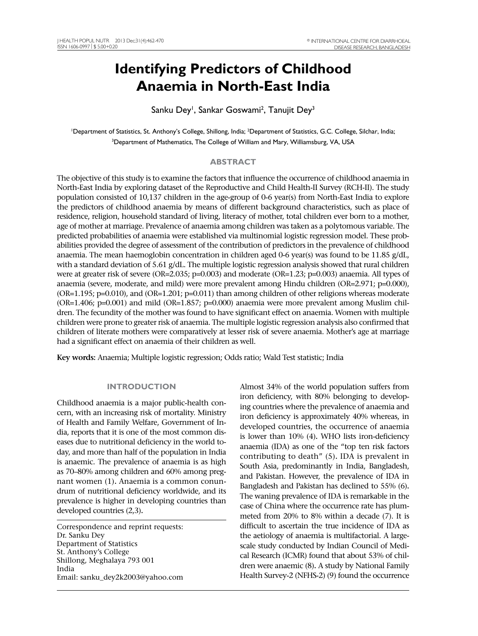# **Identifying Predictors of Childhood Anaemia in North-East India**

Sanku Dey<sup>i</sup>, Sankar Goswami<sup>2</sup>, Tanujit Dey<sup>3</sup>

<sup>1</sup>Department of Statistics, St. Anthony's College, Shillong, India; <sup>2</sup>Department of Statistics, G.C. College, Silchar, India; <sup>3</sup>Department of Mathematics, The College of William and Mary, Williamsburg, VA, USA

# **ABSTRACT**

The objective of this study is to examine the factors that influence the occurrence of childhood anaemia in North-East India by exploring dataset of the Reproductive and Child Health-II Survey (RCH-II). The study population consisted of 10,137 children in the age-group of 0-6 year(s) from North-East India to explore the predictors of childhood anaemia by means of different background characteristics, such as place of residence, religion, household standard of living, literacy of mother, total children ever born to a mother, age of mother at marriage. Prevalence of anaemia among children was taken as a polytomous variable. The predicted probabilities of anaemia were established via multinomial logistic regression model. These probabilities provided the degree of assessment of the contribution of predictors in the prevalence of childhood anaemia. The mean haemoglobin concentration in children aged 0-6 year(s) was found to be 11.85 g/dL, with a standard deviation of 5.61 g/dL. The multiple logistic regression analysis showed that rural children were at greater risk of severe (OR=2.035; p=0.003) and moderate (OR=1.23; p=0.003) anaemia. All types of anaemia (severe, moderate, and mild) were more prevalent among Hindu children (OR=2.971; p=0.000), (OR=1.195; p=0.010), and (OR=1.201; p=0.011) than among children of other religions whereas moderate (OR=1.406; p=0.001) and mild (OR=1.857; p=0.000) anaemia were more prevalent among Muslim children. The fecundity of the mother was found to have significant effect on anaemia. Women with multiple children were prone to greater risk of anaemia. The multiple logistic regression analysis also confirmed that children of literate mothers were comparatively at lesser risk of severe anaemia. Mother's age at marriage had a significant effect on anaemia of their children as well.

**Key words:** Anaemia; Multiple logistic regression; Odds ratio; Wald Test statistic; India

## **INTRODUCTION**

Childhood anaemia is a major public-health concern, with an increasing risk of mortality. Ministry of Health and Family Welfare, Government of India, reports that it is one of the most common diseases due to nutritional deficiency in the world today, and more than half of the population in India is anaemic. The prevalence of anaemia is as high as 70–80% among children and 60% among pregnant women (1)**.** Anaemia is a common conundrum of nutritional deficiency worldwide, and its prevalence is higher in developing countries than developed countries (2,3)**.**

Correspondence and reprint requests: Dr. Sanku Dey Department of Statistics St. Anthony's College Shillong, Meghalaya 793 001 India Email: sanku\_dey2k2003@yahoo.com Almost 34% of the world population suffers from iron deficiency, with 80% belonging to developing countries where the prevalence of anaemia and iron deficiency is approximately 40% whereas, in developed countries, the occurrence of anaemia is lower than 10% (4)**.** WHO lists iron-deficiency anaemia (IDA) as one of the "top ten risk factors contributing to death" (5)**.** IDA is prevalent in South Asia, predominantly in India, Bangladesh, and Pakistan. However, the prevalence of IDA in Bangladesh and Pakistan has declined to 55% (6)**.** The waning prevalence of IDA is remarkable in the case of China where the occurrence rate has plummeted from 20% to 8% within a decade (7). It is difficult to ascertain the true incidence of IDA as the aetiology of anaemia is multifactorial. A largescale study conducted by Indian Council of Medical Research (ICMR) found that about 53% of children were anaemic (8)**.** A study by National Family Health Survey-2 (NFHS-2) (9) found the occurrence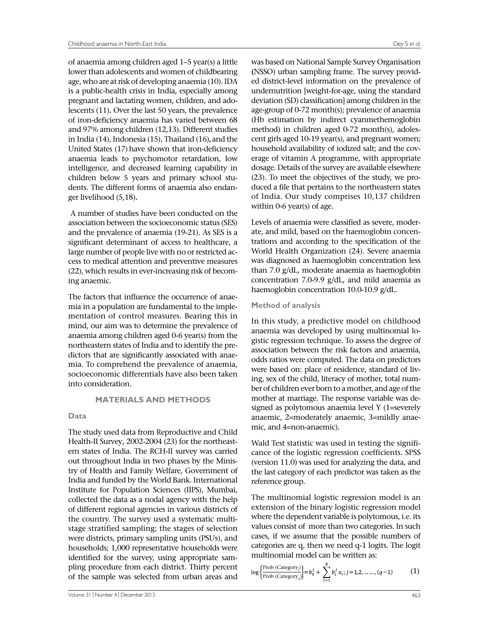of anaemia among children aged 1–5 year(s) a little lower than adolescents and women of childbearing age, who are at risk of developing anaemia (10). IDA is a public-health crisis in India, especially among pregnant and lactating women, children, and adolescents (11)**.** Over the last 50 years, the prevalence of iron-deficiency anaemia has varied between 68 and 97% among children (12,13)**.** Different studies in India (14), Indonesia (15), Thailand (16)**,**and the United States (17) have shown that iron-deficiency anaemia leads to psychomotor retardation, low intelligence, and decreased learning capability in children below 5 years and primary school students. The different forms of anaemia also endanger livelihood (5,18)**.**

 A number of studies have been conducted on the association between the socioeconomic status (SES) and the prevalence of anaemia (19-21). As SES is a significant determinant of access to healthcare, a large number of people live with no or restricted access to medical attention and preventive measures (22), which results in ever-increasing risk of becoming anaemic.

The factors that influence the occurrence of anaemia in a population are fundamental to the implementation of control measures. Bearing this in mind, our aim was to determine the prevalence of anaemia among children aged 0-6 year(s) from the northeastern states of India and to identify the predictors that are significantly associated with anaemia. To comprehend the prevalence of anaemia, socioeconomic differentials have also been taken into consideration.

## **MATERIALS AND METHODS**

## **Data**

The study used data from Reproductive and Child Health-II Survey**,** 2002-2004 (23) for the northeastern states of India. The RCH-II survey was carried out throughout India in two phases by the Ministry of Health and Family Welfare, Government of India and funded by the World Bank. International Institute for Population Sciences (IIPS), Mumbai, collected the data as a nodal agency with the help of different regional agencies in various districts of the country. The survey used a systematic multistage stratified sampling; the stages of selection were districts, primary sampling units (PSUs), and households; 1,000 representative households were identified for the survey, using appropriate sampling procedure from each district. Thirty percent of the sample was selected from urban areas and

was based on National Sample Survey Organisation **(**NSSO) urban sampling frame. The survey provided district-level information on the prevalence of undernutrition [weight-for-age, using the standard deviation (SD) classification] among children in the age-group of 0-72 month(s); prevalence of anaemia (Hb estimation by indirect cyanmethemoglobin method) in children aged 0-72 month(s), adolescent girls aged 10-19 year(s), and pregnant women; household availability of iodized salt; and the coverage of vitamin A programme, with appropriate dosage. Details of the survey are available elsewhere (23). To meet the objectives of the study, we produced a file that pertains to the northeastern states of India. Our study comprises 10,137 children within 0-6 year(s) of age.

Levels of anaemia were classified as severe, moderate, and mild, based on the haemoglobin concentrations and according to the specification of the World Health Organization (24). Severe anaemia was diagnosed as haemoglobin concentration less than 7.0 g/dL, moderate anaemia as haemoglobin concentration 7.0-9.9 g/dL, and mild anaemia as haemoglobin concentration 10.0-10.9 g/dL.

## **Method of analysis**

In this study, a predictive model on childhood anaemia was developed by using multinomial logistic regression technique. To assess the degree of association between the risk factors and anaemia, odds ratios were computed. The data on predictors were based on: place of residence, standard of living, sex of the child, literacy of mother, total number of children ever born to a mother, and age of the mother at marriage. The response variable was designed as polytomous anaemia level Y (1=severely anaemic, 2=moderately anaemic, 3=mildly anaemic, and 4=non-anaemic).

Wald Test statistic was used in testing the significance of the logistic regression coefficients. SPSS (version 11.0) was used for analyzing the data, and the last category of each predictor was taken as the reference group.

The multinomial logistic regression model is an extension of the binary logistic regression model where the dependent variable is polytomous, i.e. its values consist of more than two categories. In such cases, if we assume that the possible numbers of categories are q, then we need q-1 logits. The logit multinomial model can be written as:

$$
\log \left\{ \frac{\text{Prob (Category}_{\parallel})}{\text{Prob (Category}_{\parallel})} \right\} = b_0^j + \sum_{i=1}^n b_i^j x_i; j = 1, 2, \dots, (q-1) \tag{1}
$$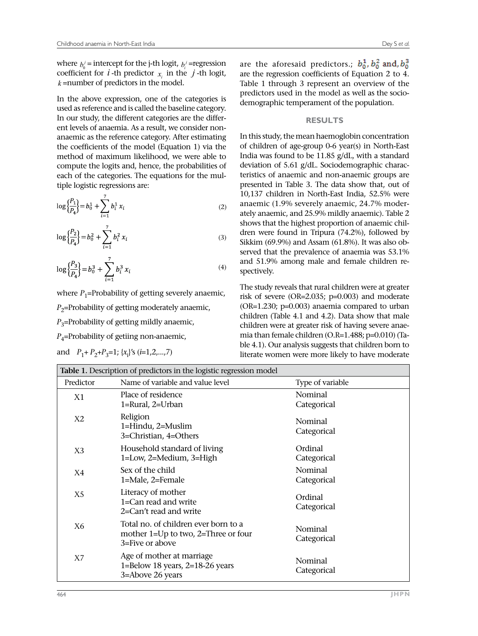where  $b'_0$  = intercept for the j-th logit,  $b'_i$  =regression coefficient for  $i$  -th predictor  $x_i$  in the  $j$ -th logit,  $k$  =number of predictors in the model.

In the above expression, one of the categories is used as reference and is called the baseline category. In our study, the different categories are the different levels of anaemia. As a result, we consider nonanaemic as the reference category. After estimating the coefficients of the model (Equation 1) via the method of maximum likelihood, we were able to compute the logits and, hence, the probabilities of each of the categories. The equations for the multiple logistic regressions are:

$$
\log\left\{\frac{P_1}{P_4}\right\} = b_0^1 + \sum_{i=1}^7 b_i^1 x_i \tag{2}
$$

$$
\log\left\{\frac{P_2}{P_4}\right\} = b_0^2 + \sum_{i=1}^7 b_i^2 x_i \tag{3}
$$

$$
\log\left\{\frac{P_3}{P_4}\right\} = b_0^3 + \sum_{i=1}^7 b_i^3 x_i \tag{4}
$$

where  $P_1$ =Probability of getting severely anaemic,  $P<sub>2</sub>=$ Probability of getting moderately anaemic,  $P_3$ =Probability of getting mildly anaemic, *P*<sub>4</sub>=Probability of getiing non-anaemic,

and  $P_1 + P_2 + P_3 = 1$ ; { $x_i$ }'s (*i*=1,2,...,7)

are the aforesaid predictors.;  $b_0^1$ ,  $b_0^2$  and,  $b_0^3$ are the regression coefficients of Equation 2 to 4. Table 1 through 3 represent an overview of the predictors used in the model as well as the sociodemographic temperament of the population.

#### **RESULTS**

In this study, the mean haemoglobin concentration of children of age-group 0-6 year(s) in North-East India was found to be 11.85 g/dL, with a standard deviation of 5.61 g/dL. Sociodemographic characteristics of anaemic and non-anaemic groups are presented in Table 3. The data show that, out of 10,137 children in North-East India, 52.5% were anaemic (1.9% severely anaemic, 24.7% moderately anaemic, and 25.9% mildly anaemic). Table 2 shows that the highest proportion of anaemic children were found in Tripura (74.2%), followed by Sikkim (69.9%) and Assam (61.8%). It was also observed that the prevalence of anaemia was 53.1% and 51.9% among male and female children respectively.

The study reveals that rural children were at greater risk of severe (OR=2.035; p=0.003) and moderate (OR=1.230; p=0.003) anaemia compared to urban children (Table 4.1 and 4.2). Data show that male children were at greater risk of having severe anaemia than female children (O.R=1.488; p=0.010) (Table 4.1). Our analysis suggests that children born to literate women were more likely to have moderate

| <b>Table 1.</b> Description of predictors in the logistic regression model |                                                                                                |                        |  |  |  |  |
|----------------------------------------------------------------------------|------------------------------------------------------------------------------------------------|------------------------|--|--|--|--|
| Predictor                                                                  | Name of variable and value level                                                               | Type of variable       |  |  |  |  |
| X1                                                                         | Place of residence<br>1=Rural, 2=Urban                                                         | Nominal<br>Categorical |  |  |  |  |
| X2                                                                         | Religion<br>1=Hindu, 2=Muslim<br>3=Christian, 4=Others                                         | Nominal<br>Categorical |  |  |  |  |
| X3                                                                         | Household standard of living<br>1=Low, 2=Medium, 3=High                                        | Ordinal<br>Categorical |  |  |  |  |
| X4                                                                         | Sex of the child<br>1=Male, 2=Female                                                           | Nominal<br>Categorical |  |  |  |  |
| X5                                                                         | Literacy of mother<br>$1 = Can$ read and write<br>2=Can't read and write                       | Ordinal<br>Categorical |  |  |  |  |
| X <sub>6</sub>                                                             | Total no. of children ever born to a<br>mother 1=Up to two, 2=Three or four<br>3=Five or above | Nominal<br>Categorical |  |  |  |  |
| X7                                                                         | Age of mother at marriage<br>1=Below 18 years, $2=18-26$ years<br>3=Above 26 years             | Nominal<br>Categorical |  |  |  |  |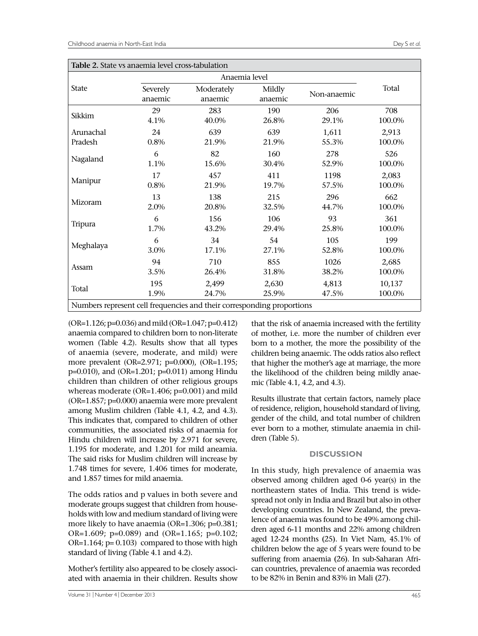| Table 2. State vs anaemia level cross-tabulation                       |                     |                       |                   |             |        |  |  |  |
|------------------------------------------------------------------------|---------------------|-----------------------|-------------------|-------------|--------|--|--|--|
|                                                                        |                     | Anaemia level         |                   |             |        |  |  |  |
| <b>State</b>                                                           | Severely<br>anaemic | Moderately<br>anaemic | Mildly<br>anaemic | Non-anaemic | Total  |  |  |  |
| Sikkim                                                                 | 29                  | 283                   | 190               | 206         | 708    |  |  |  |
|                                                                        | 4.1%                | 40.0%                 | 26.8%             | 29.1%       | 100.0% |  |  |  |
| Arunachal                                                              | 24                  | 639                   | 639               | 1,611       | 2,913  |  |  |  |
| Pradesh                                                                | 0.8%                | 21.9%                 | 21.9%             | 55.3%       | 100.0% |  |  |  |
| Nagaland                                                               | 6                   | 82                    | 160               | 278         | 526    |  |  |  |
|                                                                        | 1.1%                | 15.6%                 | 30.4%             | 52.9%       | 100.0% |  |  |  |
| Manipur                                                                | 17                  | 457                   | 411               | 1198        | 2,083  |  |  |  |
|                                                                        | 0.8%                | 21.9%                 | 19.7%             | 57.5%       | 100.0% |  |  |  |
| Mizoram                                                                | 13                  | 138                   | 215               | 296         | 662    |  |  |  |
|                                                                        | 2.0%                | 20.8%                 | 32.5%             | 44.7%       | 100.0% |  |  |  |
| Tripura                                                                | 6                   | 156                   | 106               | 93          | 361    |  |  |  |
|                                                                        | 1.7%                | 43.2%                 | 29.4%             | 25.8%       | 100.0% |  |  |  |
| Meghalaya                                                              | 6                   | 34                    | 54                | 105         | 199    |  |  |  |
|                                                                        | 3.0%                | 17.1%                 | 27.1%             | 52.8%       | 100.0% |  |  |  |
| Assam                                                                  | 94                  | 710                   | 855               | 1026        | 2,685  |  |  |  |
|                                                                        | 3.5%                | 26.4%                 | 31.8%             | 38.2%       | 100.0% |  |  |  |
| Total                                                                  | 195                 | 2,499                 | 2,630             | 4,813       | 10,137 |  |  |  |
|                                                                        | 1.9%                | 24.7%                 | 25.9%             | 47.5%       | 100.0% |  |  |  |
| Numbers represent cell frequencies and their corresponding proportions |                     |                       |                   |             |        |  |  |  |

(OR=1.126; p=0.036) and mild (OR=1.047; p=0.412) anaemia compared to children born to non-literate women (Table 4.2). Results show that all types of anaemia (severe, moderate, and mild) were more prevalent (OR=2.971; p=0.000), (OR=1.195; p=0.010), and (OR=1.201; p=0.011) among Hindu children than children of other religious groups whereas moderate (OR=1.406; p=0.001) and mild (OR=1.857; p=0.000) anaemia were more prevalent among Muslim children (Table 4.1, 4.2, and 4.3). This indicates that, compared to children of other communities, the associated risks of anaemia for Hindu children will increase by 2.971 for severe, 1.195 for moderate, and 1.201 for mild aneamia. The said risks for Muslim children will increase by 1.748 times for severe, 1.406 times for moderate, and 1.857 times for mild anaemia.

The odds ratios and p values in both severe and moderate groups suggest that children from households with low and medium standard of living were more likely to have anaemia (OR=1.306; p=0.381; OR=1.609; p=0.089) and (OR=1.165; p=0.102; OR=1.164; p= 0.103) compared to those with high standard of living (Table 4.1 and 4.2).

Mother's fertility also appeared to be closely associated with anaemia in their children. Results show

that the risk of anaemia increased with the fertility of mother, i.e. more the number of children ever born to a mother, the more the possibility of the children being anaemic. The odds ratios also reflect that higher the mother's age at marriage, the more the likelihood of the children being mildly anaemic (Table 4.1, 4.2, and 4.3).

Results illustrate that certain factors, namely place of residence, religion, household standard of living, gender of the child, and total number of children ever born to a mother, stimulate anaemia in children (Table 5).

## **DISCUSSION**

In this study, high prevalence of anaemia was observed among children aged 0-6 year(s) in the northeastern states of India. This trend is widespread not only in India and Brazil but also in other developing countries. In New Zealand, the prevalence of anaemia was found to be 49% among children aged 6-11 months and 22% among children aged 12-24 months **(**25**)**. In Viet Nam, 45.1% of children below the age of 5 years were found to be suffering from anaemia **(**26**)**. In sub-Saharan African countries, prevalence of anaemia was recorded to be 82% in Benin and 83% in Mali **(**27**)**.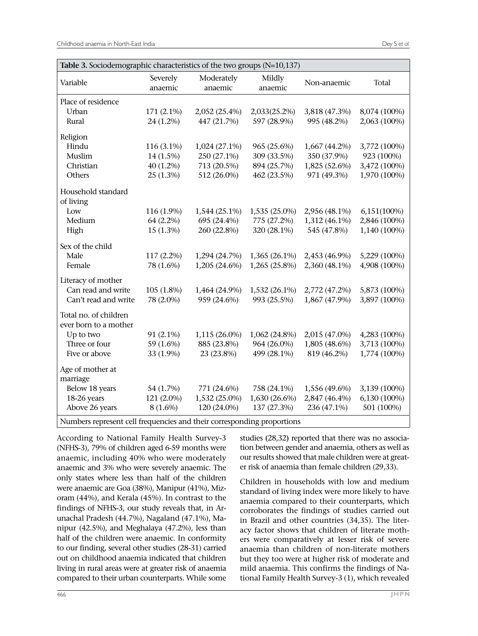| Severely<br>Moderately<br>Mildly<br>Variable<br>Total<br>Non-anaemic<br>anaemic<br>anaemic<br>anaemic<br>Place of residence<br>Urban<br>171 (2.1%)<br>2,052 (25.4%)<br>2,033(25.2%)<br>3,818 (47.3%)<br>8,074 (100%)<br>Rural<br>24 (1.2%)<br>447 (21.7%)<br>597 (28.9%)<br>995 (48.2%)<br>2,063 (100%)<br>Religion<br>Hindu<br>116 (3.1%)<br>1,024 (27.1%)<br>965 (25.6%)<br>1,667 (44.2%)<br>3,772 (100%)<br>Muslim<br>309 (33.5%)<br>350 (37.9%)<br>14 (1.5%)<br>250 (27.1%)<br>923 (100%)<br>Christian<br>$40(1.2\%)$<br>713 (20.5%)<br>894 (25.7%)<br>1,825 (52.6%)<br>3,472 (100%)<br>Others<br>512 (26.0%)<br>971 (49.3%)<br>1,970 (100%)<br>$25(1.3\%)$<br>462 (23.5%)<br>Household standard<br>of living<br>Low<br>116 (1.9%)<br>1,544 (25.1%)<br>1,535 (25.0%)<br>2,956 (48.1%)<br>6,151(100%)<br>Medium<br>64 (2.2%)<br>695 (24.4%)<br>775 (27.2%)<br>2,846 (100%)<br>1,312 (46.1%)<br>High<br>$15(1.3\%)$<br>260 (22.8%)<br>320 (28.1%)<br>545 (47.8%)<br>1,140 (100%)<br>Sex of the child<br>Male<br>117 (2.2%)<br>1,294 (24.7%)<br>1,365 (26.1%)<br>2,453 (46.9%)<br>5,229 (100%)<br>78 (1.6%)<br>1,205 (24.6%)<br>1,265 (25.8%)<br>2,360 (48.1%)<br>4,908 (100%)<br>Female<br>Literacy of mother<br>Can read and write<br>105 (1.8%)<br>1,464 (24.9%)<br>1,532 (26.1%)<br>2,772 (47.2%)<br>5,873 (100%)<br>Can't read and write<br>959 (24.6%)<br>993 (25.5%)<br>3,897 (100%)<br>78 (2.0%)<br>1,867 (47.9%)<br>Total no. of children<br>ever born to a mother<br>Up to two<br>91 (2.1%)<br>1,115 (26.0%)<br>2,015 (47.0%)<br>4,283 (100%)<br>1,062 (24.8%)<br>Three or four<br>59 (1.6%)<br>885 (23.8%)<br>964 (26.0%)<br>1,805 (48.6%)<br>3,713 (100%)<br>499 (28.1%)<br>819 (46.2%)<br>Five or above<br>33 (1.9%)<br>23 (23.8%)<br>1,774 (100%)<br>Age of mother at<br>marriage<br>Below 18 years<br>771 (24.6%)<br>758 (24.1%)<br>3,139 (100%)<br>54 (1.7%)<br>1,556 (49.6%)<br>18-26 years<br>121 (2.0%)<br>1,532 (25.0%)<br>1,630 (26.6%)<br>6,130 (100%)<br>2,847 (46.4%)<br>Above 26 years<br>501 (100%)<br>8 (1.6%)<br>120 (24.0%)<br>137 (27.3%)<br>236 (47.1%) | Table 3. Sociodemographic characteristics of the two groups (N=10,137) |  |  |  |
|-----------------------------------------------------------------------------------------------------------------------------------------------------------------------------------------------------------------------------------------------------------------------------------------------------------------------------------------------------------------------------------------------------------------------------------------------------------------------------------------------------------------------------------------------------------------------------------------------------------------------------------------------------------------------------------------------------------------------------------------------------------------------------------------------------------------------------------------------------------------------------------------------------------------------------------------------------------------------------------------------------------------------------------------------------------------------------------------------------------------------------------------------------------------------------------------------------------------------------------------------------------------------------------------------------------------------------------------------------------------------------------------------------------------------------------------------------------------------------------------------------------------------------------------------------------------------------------------------------------------------------------------------------------------------------------------------------------------------------------------------------------------------------------------------------------------------------------------------------------------------------------------------------------------------------------------------------------------------------------------------------------------------------------------------------------------------------------------|------------------------------------------------------------------------|--|--|--|
|                                                                                                                                                                                                                                                                                                                                                                                                                                                                                                                                                                                                                                                                                                                                                                                                                                                                                                                                                                                                                                                                                                                                                                                                                                                                                                                                                                                                                                                                                                                                                                                                                                                                                                                                                                                                                                                                                                                                                                                                                                                                                         |                                                                        |  |  |  |
|                                                                                                                                                                                                                                                                                                                                                                                                                                                                                                                                                                                                                                                                                                                                                                                                                                                                                                                                                                                                                                                                                                                                                                                                                                                                                                                                                                                                                                                                                                                                                                                                                                                                                                                                                                                                                                                                                                                                                                                                                                                                                         |                                                                        |  |  |  |
|                                                                                                                                                                                                                                                                                                                                                                                                                                                                                                                                                                                                                                                                                                                                                                                                                                                                                                                                                                                                                                                                                                                                                                                                                                                                                                                                                                                                                                                                                                                                                                                                                                                                                                                                                                                                                                                                                                                                                                                                                                                                                         |                                                                        |  |  |  |
|                                                                                                                                                                                                                                                                                                                                                                                                                                                                                                                                                                                                                                                                                                                                                                                                                                                                                                                                                                                                                                                                                                                                                                                                                                                                                                                                                                                                                                                                                                                                                                                                                                                                                                                                                                                                                                                                                                                                                                                                                                                                                         |                                                                        |  |  |  |
|                                                                                                                                                                                                                                                                                                                                                                                                                                                                                                                                                                                                                                                                                                                                                                                                                                                                                                                                                                                                                                                                                                                                                                                                                                                                                                                                                                                                                                                                                                                                                                                                                                                                                                                                                                                                                                                                                                                                                                                                                                                                                         |                                                                        |  |  |  |
|                                                                                                                                                                                                                                                                                                                                                                                                                                                                                                                                                                                                                                                                                                                                                                                                                                                                                                                                                                                                                                                                                                                                                                                                                                                                                                                                                                                                                                                                                                                                                                                                                                                                                                                                                                                                                                                                                                                                                                                                                                                                                         |                                                                        |  |  |  |
|                                                                                                                                                                                                                                                                                                                                                                                                                                                                                                                                                                                                                                                                                                                                                                                                                                                                                                                                                                                                                                                                                                                                                                                                                                                                                                                                                                                                                                                                                                                                                                                                                                                                                                                                                                                                                                                                                                                                                                                                                                                                                         |                                                                        |  |  |  |
|                                                                                                                                                                                                                                                                                                                                                                                                                                                                                                                                                                                                                                                                                                                                                                                                                                                                                                                                                                                                                                                                                                                                                                                                                                                                                                                                                                                                                                                                                                                                                                                                                                                                                                                                                                                                                                                                                                                                                                                                                                                                                         |                                                                        |  |  |  |
|                                                                                                                                                                                                                                                                                                                                                                                                                                                                                                                                                                                                                                                                                                                                                                                                                                                                                                                                                                                                                                                                                                                                                                                                                                                                                                                                                                                                                                                                                                                                                                                                                                                                                                                                                                                                                                                                                                                                                                                                                                                                                         |                                                                        |  |  |  |
|                                                                                                                                                                                                                                                                                                                                                                                                                                                                                                                                                                                                                                                                                                                                                                                                                                                                                                                                                                                                                                                                                                                                                                                                                                                                                                                                                                                                                                                                                                                                                                                                                                                                                                                                                                                                                                                                                                                                                                                                                                                                                         |                                                                        |  |  |  |
|                                                                                                                                                                                                                                                                                                                                                                                                                                                                                                                                                                                                                                                                                                                                                                                                                                                                                                                                                                                                                                                                                                                                                                                                                                                                                                                                                                                                                                                                                                                                                                                                                                                                                                                                                                                                                                                                                                                                                                                                                                                                                         |                                                                        |  |  |  |
|                                                                                                                                                                                                                                                                                                                                                                                                                                                                                                                                                                                                                                                                                                                                                                                                                                                                                                                                                                                                                                                                                                                                                                                                                                                                                                                                                                                                                                                                                                                                                                                                                                                                                                                                                                                                                                                                                                                                                                                                                                                                                         |                                                                        |  |  |  |
|                                                                                                                                                                                                                                                                                                                                                                                                                                                                                                                                                                                                                                                                                                                                                                                                                                                                                                                                                                                                                                                                                                                                                                                                                                                                                                                                                                                                                                                                                                                                                                                                                                                                                                                                                                                                                                                                                                                                                                                                                                                                                         |                                                                        |  |  |  |
|                                                                                                                                                                                                                                                                                                                                                                                                                                                                                                                                                                                                                                                                                                                                                                                                                                                                                                                                                                                                                                                                                                                                                                                                                                                                                                                                                                                                                                                                                                                                                                                                                                                                                                                                                                                                                                                                                                                                                                                                                                                                                         |                                                                        |  |  |  |
|                                                                                                                                                                                                                                                                                                                                                                                                                                                                                                                                                                                                                                                                                                                                                                                                                                                                                                                                                                                                                                                                                                                                                                                                                                                                                                                                                                                                                                                                                                                                                                                                                                                                                                                                                                                                                                                                                                                                                                                                                                                                                         |                                                                        |  |  |  |
|                                                                                                                                                                                                                                                                                                                                                                                                                                                                                                                                                                                                                                                                                                                                                                                                                                                                                                                                                                                                                                                                                                                                                                                                                                                                                                                                                                                                                                                                                                                                                                                                                                                                                                                                                                                                                                                                                                                                                                                                                                                                                         |                                                                        |  |  |  |
|                                                                                                                                                                                                                                                                                                                                                                                                                                                                                                                                                                                                                                                                                                                                                                                                                                                                                                                                                                                                                                                                                                                                                                                                                                                                                                                                                                                                                                                                                                                                                                                                                                                                                                                                                                                                                                                                                                                                                                                                                                                                                         |                                                                        |  |  |  |
|                                                                                                                                                                                                                                                                                                                                                                                                                                                                                                                                                                                                                                                                                                                                                                                                                                                                                                                                                                                                                                                                                                                                                                                                                                                                                                                                                                                                                                                                                                                                                                                                                                                                                                                                                                                                                                                                                                                                                                                                                                                                                         |                                                                        |  |  |  |
|                                                                                                                                                                                                                                                                                                                                                                                                                                                                                                                                                                                                                                                                                                                                                                                                                                                                                                                                                                                                                                                                                                                                                                                                                                                                                                                                                                                                                                                                                                                                                                                                                                                                                                                                                                                                                                                                                                                                                                                                                                                                                         |                                                                        |  |  |  |
|                                                                                                                                                                                                                                                                                                                                                                                                                                                                                                                                                                                                                                                                                                                                                                                                                                                                                                                                                                                                                                                                                                                                                                                                                                                                                                                                                                                                                                                                                                                                                                                                                                                                                                                                                                                                                                                                                                                                                                                                                                                                                         |                                                                        |  |  |  |
|                                                                                                                                                                                                                                                                                                                                                                                                                                                                                                                                                                                                                                                                                                                                                                                                                                                                                                                                                                                                                                                                                                                                                                                                                                                                                                                                                                                                                                                                                                                                                                                                                                                                                                                                                                                                                                                                                                                                                                                                                                                                                         |                                                                        |  |  |  |
|                                                                                                                                                                                                                                                                                                                                                                                                                                                                                                                                                                                                                                                                                                                                                                                                                                                                                                                                                                                                                                                                                                                                                                                                                                                                                                                                                                                                                                                                                                                                                                                                                                                                                                                                                                                                                                                                                                                                                                                                                                                                                         |                                                                        |  |  |  |
|                                                                                                                                                                                                                                                                                                                                                                                                                                                                                                                                                                                                                                                                                                                                                                                                                                                                                                                                                                                                                                                                                                                                                                                                                                                                                                                                                                                                                                                                                                                                                                                                                                                                                                                                                                                                                                                                                                                                                                                                                                                                                         |                                                                        |  |  |  |
|                                                                                                                                                                                                                                                                                                                                                                                                                                                                                                                                                                                                                                                                                                                                                                                                                                                                                                                                                                                                                                                                                                                                                                                                                                                                                                                                                                                                                                                                                                                                                                                                                                                                                                                                                                                                                                                                                                                                                                                                                                                                                         |                                                                        |  |  |  |
|                                                                                                                                                                                                                                                                                                                                                                                                                                                                                                                                                                                                                                                                                                                                                                                                                                                                                                                                                                                                                                                                                                                                                                                                                                                                                                                                                                                                                                                                                                                                                                                                                                                                                                                                                                                                                                                                                                                                                                                                                                                                                         |                                                                        |  |  |  |
|                                                                                                                                                                                                                                                                                                                                                                                                                                                                                                                                                                                                                                                                                                                                                                                                                                                                                                                                                                                                                                                                                                                                                                                                                                                                                                                                                                                                                                                                                                                                                                                                                                                                                                                                                                                                                                                                                                                                                                                                                                                                                         |                                                                        |  |  |  |
|                                                                                                                                                                                                                                                                                                                                                                                                                                                                                                                                                                                                                                                                                                                                                                                                                                                                                                                                                                                                                                                                                                                                                                                                                                                                                                                                                                                                                                                                                                                                                                                                                                                                                                                                                                                                                                                                                                                                                                                                                                                                                         |                                                                        |  |  |  |
|                                                                                                                                                                                                                                                                                                                                                                                                                                                                                                                                                                                                                                                                                                                                                                                                                                                                                                                                                                                                                                                                                                                                                                                                                                                                                                                                                                                                                                                                                                                                                                                                                                                                                                                                                                                                                                                                                                                                                                                                                                                                                         |                                                                        |  |  |  |
|                                                                                                                                                                                                                                                                                                                                                                                                                                                                                                                                                                                                                                                                                                                                                                                                                                                                                                                                                                                                                                                                                                                                                                                                                                                                                                                                                                                                                                                                                                                                                                                                                                                                                                                                                                                                                                                                                                                                                                                                                                                                                         |                                                                        |  |  |  |
|                                                                                                                                                                                                                                                                                                                                                                                                                                                                                                                                                                                                                                                                                                                                                                                                                                                                                                                                                                                                                                                                                                                                                                                                                                                                                                                                                                                                                                                                                                                                                                                                                                                                                                                                                                                                                                                                                                                                                                                                                                                                                         |                                                                        |  |  |  |

Numbers represent cell frequencies and their corresponding proportions

According to National Family Health Survey-3 (NFHS-3), 79% of children aged 6-59 months were anaemic, including 40% who were moderately anaemic and 3% who were severely anaemic. The only states where less than half of the children were anaemic are Goa (38%), Manipur (41%), Mizoram (44%), and Kerala (45%). In contrast to the findings of NFHS-3, our study reveals that, in Arunachal Pradesh (44.7%), Nagaland (47.1%), Manipur (42.5%), and Meghalaya (47.2%), less than half of the children were anaemic. In conformity to our finding, several other studies (28-31) carried out on childhood anaemia indicated that children living in rural areas were at greater risk of anaemia compared to their urban counterparts. While some

studies **(**28,32**)** reported that there was no association between gender and anaemia, others as well as our results showed that male children were at greater risk of anaemia than female children (29,33).

Children in households with low and medium standard of living index were more likely to have anaemia compared to their counterparts, which corroborates the findings of studies carried out in Brazil and other countries (34,35). The literacy factor shows that children of literate mothers were comparatively at lesser risk of severe anaemia than children of non-literate mothers but they too were at higher risk of moderate and mild anaemia. This confirms the findings of National Family Health Survey-3 (1), which revealed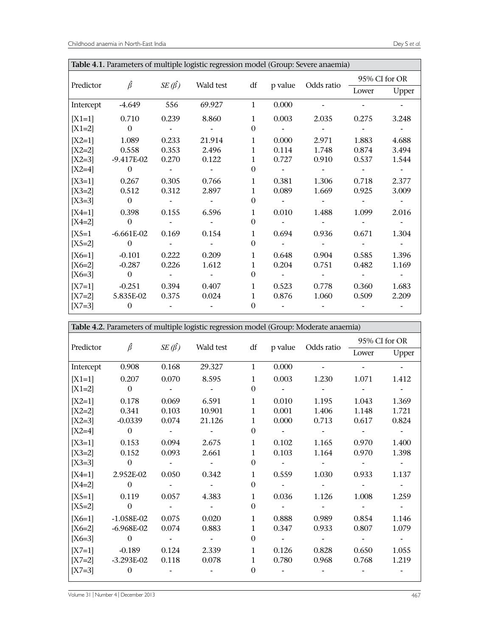| Table 4.1. Parameters of multiple logistic regression model (Group: Severe anaemia) |                  |                   |           |              |         |            |       |               |  |
|-------------------------------------------------------------------------------------|------------------|-------------------|-----------|--------------|---------|------------|-------|---------------|--|
|                                                                                     | $\hat{\beta}$    |                   |           |              |         |            |       | 95% CI for OR |  |
| Predictor                                                                           |                  | $SE(\hat{\beta})$ | Wald test | df           | p value | Odds ratio | Lower | Upper         |  |
| Intercept                                                                           | $-4.649$         | 556               | 69.927    | $\mathbf{1}$ | 0.000   |            |       |               |  |
| $[X1=1]$                                                                            | 0.710            | 0.239             | 8.860     | $\mathbf{1}$ | 0.003   | 2.035      | 0.275 | 3.248         |  |
| $[X1=2]$                                                                            | $\boldsymbol{0}$ |                   |           | $\mathbf{0}$ |         |            |       |               |  |
| $[X2=1]$                                                                            | 1.089            | 0.233             | 21.914    | $\mathbf{1}$ | 0.000   | 2.971      | 1.883 | 4.688         |  |
| $[X2=2]$                                                                            | 0.558            | 0.353             | 2.496     | $\mathbf{1}$ | 0.114   | 1.748      | 0.874 | 3.494         |  |
| $[X2=3]$                                                                            | $-9.417E-02$     | 0.270             | 0.122     | 1            | 0.727   | 0.910      | 0.537 | 1.544         |  |
| $[X2=4]$                                                                            | $\mathbf{0}$     |                   |           | $\Omega$     |         |            |       |               |  |
| $[X3=1]$                                                                            | 0.267            | 0.305             | 0.766     | $\mathbf{1}$ | 0.381   | 1.306      | 0.718 | 2.377         |  |
| $[X3=2]$                                                                            | 0.512            | 0.312             | 2.897     | $\mathbf{1}$ | 0.089   | 1.669      | 0.925 | 3.009         |  |
| $[X3=3]$                                                                            | $\overline{0}$   |                   |           | $\theta$     |         |            |       |               |  |
| $[X4=1]$                                                                            | 0.398            | 0.155             | 6.596     | 1            | 0.010   | 1.488      | 1.099 | 2.016         |  |
| $[X4=2]$                                                                            | $\boldsymbol{0}$ |                   |           | $\theta$     |         |            |       |               |  |
| $[X5=1]$                                                                            | $-6.661E-02$     | 0.169             | 0.154     | $\mathbf{1}$ | 0.694   | 0.936      | 0.671 | 1.304         |  |
| $[X5=2]$                                                                            | $\overline{0}$   |                   |           | $\theta$     |         |            |       |               |  |
| $[X6=1]$                                                                            | $-0.101$         | 0.222             | 0.209     | $\mathbf{1}$ | 0.648   | 0.904      | 0.585 | 1.396         |  |
| $[X6=2]$                                                                            | $-0.287$         | 0.226             | 1.612     | 1            | 0.204   | 0.751      | 0.482 | 1.169         |  |
| $[X6=3]$                                                                            | $\boldsymbol{0}$ |                   |           | $\Omega$     |         |            |       |               |  |
| $[X7=1]$                                                                            | $-0.251$         | 0.394             | 0.407     | $\mathbf{1}$ | 0.523   | 0.778      | 0.360 | 1.683         |  |
| $[X7=2]$                                                                            | 5.835E-02        | 0.375             | 0.024     | $\mathbf{1}$ | 0.876   | 1.060      | 0.509 | 2.209         |  |
| $[X7=3]$                                                                            | $\mathbf{0}$     |                   |           | $\Omega$     |         |            |       |               |  |

|           | Table 4.2. Parameters of multiple logistic regression model (Group: Moderate anaemia) |                    |                      |              |                           |               |       |       |
|-----------|---------------------------------------------------------------------------------------|--------------------|----------------------|--------------|---------------------------|---------------|-------|-------|
|           | df p value Odds ratio                                                                 |                    |                      |              |                           | 95% CI for OR |       |       |
| Predictor | $\hat{\beta}$                                                                         | SE $(\hat{\beta})$ | Wald test            |              |                           |               | Lower | Upper |
| Intercept | 0.908                                                                                 | 0.168              | 29.327               | $\mathbf{1}$ | 0.000                     |               |       |       |
| $[X1=1]$  | 0.207                                                                                 | 0.070              | 8.595                | $\mathbf{1}$ | 0.003                     | 1.230         | 1.071 | 1.412 |
| $[X1=2]$  | $\Omega$                                                                              |                    |                      | $\Omega$     | $\blacksquare$            |               |       |       |
| $[X2=1]$  | 0.178                                                                                 | 0.069              | 6.591                | $\mathbf{1}$ | 0.010                     | 1.195         | 1.043 | 1.369 |
| $[X2=2]$  | 0.341                                                                                 | 0.103              | 10.901               | $\mathbf{1}$ | 0.001                     | 1.406         | 1.148 | 1.721 |
| $[X2=3]$  | $-0.0339$                                                                             | 0.074              | 21.126               | $\mathbf{1}$ | 0.000                     | 0.713         | 0.617 | 0.824 |
| $[X2=4]$  | $\Omega$                                                                              |                    |                      | $\Omega$     |                           |               |       |       |
| $[X3=1]$  | 0.153                                                                                 | 0.094              | 2.675                | $\mathbf{1}$ | 0.102                     | 1.165         | 0.970 | 1.400 |
| $[X3=2]$  | 0.152                                                                                 | 0.093              | 2.661                | $\mathbf{1}$ | 0.103                     | 1.164         | 0.970 | 1.398 |
| $[X3=3]$  | $\overline{0}$                                                                        |                    |                      | $\Omega$     |                           |               |       |       |
| $[X4=1]$  | 2.952E-02                                                                             | 0.050              | 0.342                | $\mathbf{1}$ | 0.559                     | 1.030         | 0.933 | 1.137 |
| $[X4=2]$  | $\sim$ 0                                                                              |                    |                      | $\Omega$     |                           |               |       |       |
| $[X5=1]$  | 0.119                                                                                 | 0.057              | 4.383                | $\mathbf{1}$ | 0.036                     | 1.126         | 1.008 | 1.259 |
| $[X5=2]$  | $\overline{\phantom{0}}$                                                              |                    |                      | $\Omega$     |                           |               |       |       |
| $[X6=1]$  | $-1.058E-02$                                                                          | 0.075              | 0.020                | $\mathbf{1}$ | 0.888                     | 0.989         | 0.854 | 1.146 |
| $[X6=2]$  | $-6.968E-02$                                                                          | 0.074              | 0.883                | $\mathbf{1}$ | 0.347                     | 0.933         | 0.807 | 1.079 |
| $[X6=3]$  | $\overline{0}$                                                                        |                    | $\sim 100$ m $^{-1}$ | $\Omega$     | $\sim 10^{-10}$ m $^{-1}$ |               |       |       |
|           | $[X7=1]$ -0.189                                                                       | 0.124              | 2.339                | $\mathbf{1}$ | 0.126                     | 0.828         | 0.650 | 1.055 |
|           | $[X7=2]$ -3.293E-02                                                                   | 0.118              | 0.078                | $\mathbf{1}$ | 0.780                     | 0.968         | 0.768 | 1.219 |
| $[X7=3]$  | $\overline{0}$                                                                        |                    |                      | $\Omega$     |                           |               |       |       |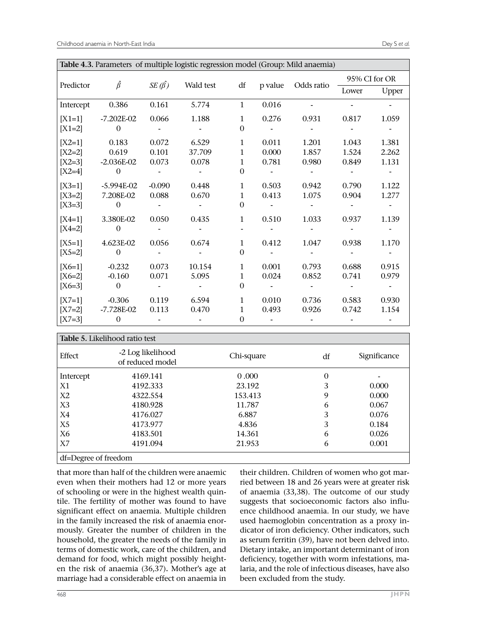| Table 4.3. Parameters of multiple logistic regression model (Group: Mild anaemia) |                |                   |           |              |         |            |       |               |
|-----------------------------------------------------------------------------------|----------------|-------------------|-----------|--------------|---------|------------|-------|---------------|
| Predictor                                                                         | $\hat{\beta}$  | $SE(\hat{\beta})$ | Wald test | df           | p value | Odds ratio |       | 95% CI for OR |
|                                                                                   |                |                   |           |              |         |            | Lower | Upper         |
| Intercept                                                                         | 0.386          | 0.161             | 5.774     | $\mathbf{1}$ | 0.016   |            |       |               |
| $[X1=1]$                                                                          | $-7.202E-02$   | 0.066             | 1.188     | $\mathbf{1}$ | 0.276   | 0.931      | 0.817 | 1.059         |
| $[X1=2]$                                                                          | $\mathbf{0}$   |                   |           | $\mathbf{0}$ |         |            |       |               |
| $[X2=1]$                                                                          | 0.183          | 0.072             | 6.529     | $\mathbf{1}$ | 0.011   | 1.201      | 1.043 | 1.381         |
| $[X2=2]$                                                                          | 0.619          | 0.101             | 37.709    | 1            | 0.000   | 1.857      | 1.524 | 2.262         |
| $[X2=3]$                                                                          | $-2.036E-02$   | 0.073             | 0.078     | $\mathbf{1}$ | 0.781   | 0.980      | 0.849 | 1.131         |
| $[X2=4]$                                                                          | $\theta$       |                   |           | $\Omega$     |         |            |       |               |
| $[X3=1]$                                                                          | $-5.994E-02$   | $-0.090$          | 0.448     | 1            | 0.503   | 0.942      | 0.790 | 1.122         |
| $[X3=2]$                                                                          | 7.208E-02      | 0.088             | 0.670     | $\mathbf{1}$ | 0.413   | 1.075      | 0.904 | 1.277         |
| $[X3=3]$                                                                          | $\Omega$       |                   |           | $\Omega$     |         |            |       |               |
| $[X4=1]$                                                                          | 3.380E-02      | 0.050             | 0.435     | $\mathbf{1}$ | 0.510   | 1.033      | 0.937 | 1.139         |
| $[X4=2]$                                                                          | $\mathbf{0}$   |                   |           |              |         |            |       |               |
| $[X5=1]$                                                                          | 4.623E-02      | 0.056             | 0.674     | $\mathbf{1}$ | 0.412   | 1.047      | 0.938 | 1.170         |
| $[X5=2]$                                                                          | $\overline{0}$ |                   |           | $\Omega$     |         |            |       |               |
| $[X6=1]$                                                                          | $-0.232$       | 0.073             | 10.154    | $\mathbf{1}$ | 0.001   | 0.793      | 0.688 | 0.915         |
| $[X6=2]$                                                                          | $-0.160$       | 0.071             | 5.095     | $\mathbf{1}$ | 0.024   | 0.852      | 0.741 | 0.979         |
| $[X6=3]$                                                                          | $\mathbf{0}$   |                   |           | $\Omega$     |         |            |       |               |
| $[X7=1]$                                                                          | $-0.306$       | 0.119             | 6.594     | 1            | 0.010   | 0.736      | 0.583 | 0.930         |
| $[X7=2]$                                                                          | $-7.728E-02$   | 0.113             | 0.470     | $\mathbf{1}$ | 0.493   | 0.926      | 0.742 | 1.154         |
| $[X7=3]$                                                                          | $\mathbf{0}$   |                   |           | $\theta$     |         |            |       |               |

| Table 5. Likelihood ratio test |                                       |            |          |              |  |  |  |  |
|--------------------------------|---------------------------------------|------------|----------|--------------|--|--|--|--|
| Effect                         | -2 Log likelihood<br>of reduced model | Chi-square | df       | Significance |  |  |  |  |
| Intercept                      | 4169.141                              | 0.000      | $\theta$ |              |  |  |  |  |
| X1                             | 4192.333                              | 23.192     | 3        | 0.000        |  |  |  |  |
| X2                             | 4322.554                              | 153.413    | 9        | 0.000        |  |  |  |  |
| X <sub>3</sub>                 | 4180.928                              | 11.787     | 6        | 0.067        |  |  |  |  |
| X4                             | 4176.027                              | 6.887      | 3        | 0.076        |  |  |  |  |
| X <sub>5</sub>                 | 4173.977                              | 4.836      | 3        | 0.184        |  |  |  |  |
| X6                             | 4183.501                              | 14.361     | 6        | 0.026        |  |  |  |  |
| X7                             | 4191.094                              | 21.953     | 6        | 0.001        |  |  |  |  |
| df=Degree of freedom           |                                       |            |          |              |  |  |  |  |

that more than half of the children were anaemic even when their mothers had 12 or more years of schooling or were in the highest wealth quintile. The fertility of mother was found to have significant effect on anaemia. Multiple children in the family increased the risk of anaemia enormously. Greater the number of children in the household, the greater the needs of the family in terms of domestic work, care of the children, and demand for food, which might possibly heighten the risk of anaemia (36,37)**.** Mother's age at marriage had a considerable effect on anaemia in

their children. Children of women who got married between 18 and 26 years were at greater risk of anaemia (33,38). The outcome of our study suggests that socioeconomic factors also influence childhood anaemia. In our study, we have used haemoglobin concentration as a proxy indicator of iron deficiency. Other indicators, such as serum ferritin (39), have not been delved into. Dietary intake, an important determinant of iron deficiency, together with worm infestations, malaria, and the role of infectious diseases, have also been excluded from the study.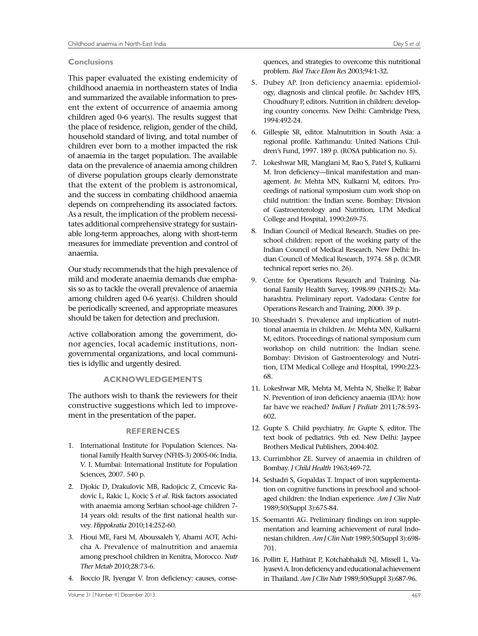## **Conclusions**

This paper evaluated the existing endemicity of childhood anaemia in northeastern states of India and summarized the available information to present the extent of occurrence of anaemia among children aged 0-6 year(s). The results suggest that the place of residence, religion, gender of the child, household standard of living, and total number of children ever born to a mother impacted the risk of anaemia in the target population. The available data on the prevalence of anaemia among children of diverse population groups clearly demonstrate that the extent of the problem is astronomical, and the success in combating childhood anaemia depends on comprehending its associated factors. As a result, the implication of the problem necessitates additional comprehensive strategy for sustainable long-term approaches, along with short-term measures for immediate prevention and control of anaemia.

Our study recommends that the high prevalence of mild and moderate anaemia demands due emphasis so as to tackle the overall prevalence of anaemia among children aged 0-6 year(s). Children should be periodically screened, and appropriate measures should be taken for detection and preclusion.

Active collaboration among the government, donor agencies, local academic institutions, nongovernmental organizations, and local communities is idyllic and urgently desired.

## **ACKNOWLEDGEMENTS**

The authors wish to thank the reviewers for their constructive suggestions which led to improvement in the presentation of the paper**.**

## **REFERENCES**

- 1. International Institute for Population Sciences. National Family Health Survey (NFHS-3) 2005-06: India. V. I. Mumbai: International Institute for Population Sciences, 2007. 540 p.
- 2. Djokic D, Drakulovic MB, Radojicic Z, Crncevic Radovic L, Rakic L, Kocic S *et al*. Risk factors associated with anaemia among Serbian school-age children 7- 14 years old: results of the first national health survey. *Hippokratia* 2010;14:252-60.
- 3. Hioui ME, Farsi M, Aboussaleh Y, Ahami AOT, Achicha A. Prevalence of malnutrition and anaemia among preschool children in Kenitra, Morocco. *Nutr Ther Metab* 2010;28:73-6.
- 4. Boccio JR, Iyengar V. Iron deficiency: causes, conse-

quences, and strategies to overcome this nutritional problem. *Biol Trace Elem Res* 2003;94:1-32.

- 5. Dubey AP. Iron deficiency anaemia: epidemiology, diagnosis and clinical profile. *In*: Sachdev HPS, Choudhury P, editors. Nutrition in children: developing country concerns. New Delhi: Cambridge Press, 1994:492-24.
- 6. Gillespie SR, editor. Malnutrition in South Asia: a regional profile. Kathmandu: United Nations Children's Fund, 1997. 189 p. (ROSA publication no. 5).
- 7. Lokeshwar MR, Manglani M, Rao S, Patel S, Kulkarni M. Iron deficiency—linical manifestation and management. *In*: Mehta MN, Kulkarni M, editors. Proceedings of national symposium cum work shop on child nutrition: the Indian scene. Bombay: Division of Gastroenterology and Nutrition, LTM Medical College and Hospital, 1990:269-75.
- 8. Indian Council of Medical Research. Studies on preschool children: report of the working party of the Indian Council of Medical Research. New Delhi: Indian Council of Medical Research, 1974. 58 p. (ICMR technical report series no. 26).
- 9. Centre for Operations Research and Training. National Family Health Survey, 1998-99 (NFHS-2): Maharashtra. Preliminary report. Vadodara: Centre for Operations Research and Training, 2000. 39 p.
- 10. Sheeshadri S. Prevalence and implication of nutritional anaemia in children. *In*: Mehta MN, Kulkarni M, editors. Proceedings of national symposium cum workshop on child nutrition: the Indian scene. Bombay: Division of Gastroenterology and Nutrition, LTM Medical College and Hospital, 1990:223- 68.
- 11. Lokeshwar MR, Mehta M, Mehta N, Shelke P, Babar N. Prevention of iron deficiency anaemia (IDA): how far have we reached? *Indian J Pediatr* 2011;78:593- 602.
- 12. Gupte S. Child psychiatry. *In*: Gupte S, editor. The text book of pediatrics. 9th ed. New Delhi: Jaypee Brothers Medical Publishers, 2004:402.
- 13. Currimbhor ZE. Survey of anaemia in children of Bombay. *J Child Health* 1963;469-72.
- 14. Seshadri S, Gopaldas T. Impact of iron supplementation on cognitive functions in preschool and schoolaged children: the Indian experience. *Am J Clin Nutr*  1989;50(Suppl 3):675-84.
- 15. Soemantri AG. Preliminary findings on iron supplementation and learning achievement of rural Indonesian children. *Am J Clin Nutr* 1989;50(Suppl 3):698- 701.
- 16. Pollitt E, Hathirat P, Kotchabhakdi NJ, Missell L, Valyasevi A. Iron deficiency and educational achievement in Thailand. *Am J Clin Nutr* 1989;50(Suppl 3):687-96.